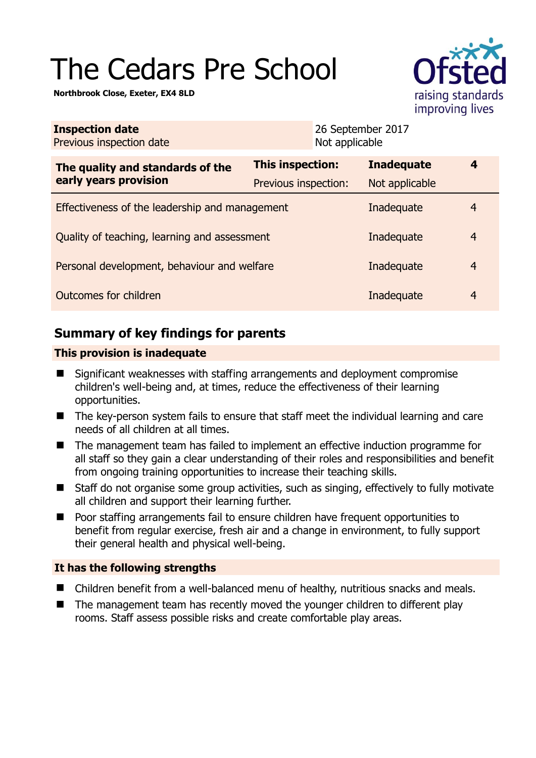# The Cedars Pre School

**Northbrook Close, Exeter, EX4 8LD** 



| <b>Inspection date</b><br>Previous inspection date        |                      | 26 September 2017<br>Not applicable |                   |                |
|-----------------------------------------------------------|----------------------|-------------------------------------|-------------------|----------------|
| The quality and standards of the<br>early years provision | This inspection:     |                                     | <b>Inadequate</b> | 4              |
|                                                           | Previous inspection: |                                     | Not applicable    |                |
| Effectiveness of the leadership and management            |                      |                                     | Inadequate        | 4              |
| Quality of teaching, learning and assessment              |                      |                                     | Inadequate        | $\overline{4}$ |
| Personal development, behaviour and welfare               |                      |                                     | Inadequate        | $\overline{4}$ |
| Outcomes for children                                     |                      |                                     | Inadequate        | 4              |

# **Summary of key findings for parents**

## **This provision is inadequate**

- Significant weaknesses with staffing arrangements and deployment compromise children's well-being and, at times, reduce the effectiveness of their learning opportunities.
- The key-person system fails to ensure that staff meet the individual learning and care needs of all children at all times.
- The management team has failed to implement an effective induction programme for all staff so they gain a clear understanding of their roles and responsibilities and benefit from ongoing training opportunities to increase their teaching skills.
- Staff do not organise some group activities, such as singing, effectively to fully motivate all children and support their learning further.
- Poor staffing arrangements fail to ensure children have frequent opportunities to benefit from regular exercise, fresh air and a change in environment, to fully support their general health and physical well-being.

## **It has the following strengths**

- Children benefit from a well-balanced menu of healthy, nutritious snacks and meals.
- The management team has recently moved the younger children to different play rooms. Staff assess possible risks and create comfortable play areas.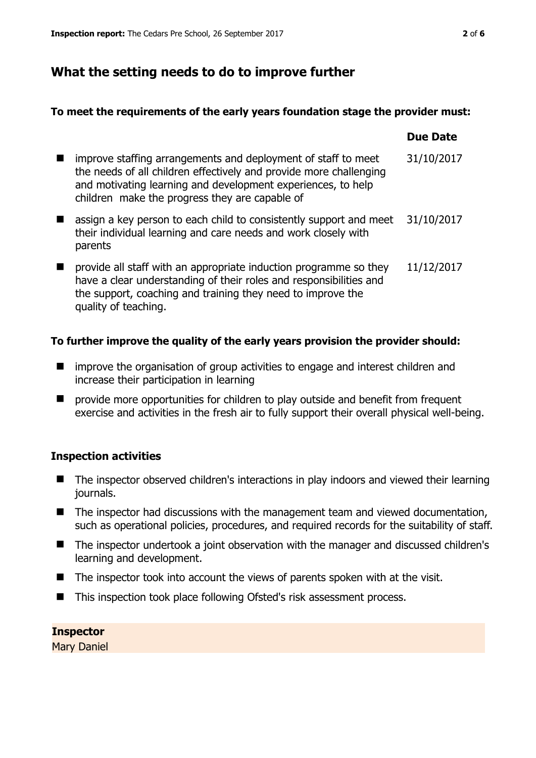# **What the setting needs to do to improve further**

#### **To meet the requirements of the early years foundation stage the provider must:**

|   |                                                                                                                                                                                                                                                       | <b>Due Date</b> |
|---|-------------------------------------------------------------------------------------------------------------------------------------------------------------------------------------------------------------------------------------------------------|-----------------|
| ш | improve staffing arrangements and deployment of staff to meet<br>the needs of all children effectively and provide more challenging<br>and motivating learning and development experiences, to help<br>children make the progress they are capable of | 31/10/2017      |
|   | assign a key person to each child to consistently support and meet<br>their individual learning and care needs and work closely with<br>parents                                                                                                       | 31/10/2017      |
|   | provide all staff with an appropriate induction programme so they<br>have a clear understanding of their roles and responsibilities and<br>the support, coaching and training they need to improve the<br>quality of teaching.                        | 11/12/2017      |

#### **To further improve the quality of the early years provision the provider should:**

- **I** improve the organisation of group activities to engage and interest children and increase their participation in learning
- provide more opportunities for children to play outside and benefit from frequent exercise and activities in the fresh air to fully support their overall physical well-being.

## **Inspection activities**

- The inspector observed children's interactions in play indoors and viewed their learning journals.
- The inspector had discussions with the management team and viewed documentation, such as operational policies, procedures, and required records for the suitability of staff.
- The inspector undertook a joint observation with the manager and discussed children's learning and development.
- $\blacksquare$  The inspector took into account the views of parents spoken with at the visit.
- This inspection took place following Ofsted's risk assessment process.

## **Inspector**

Mary Daniel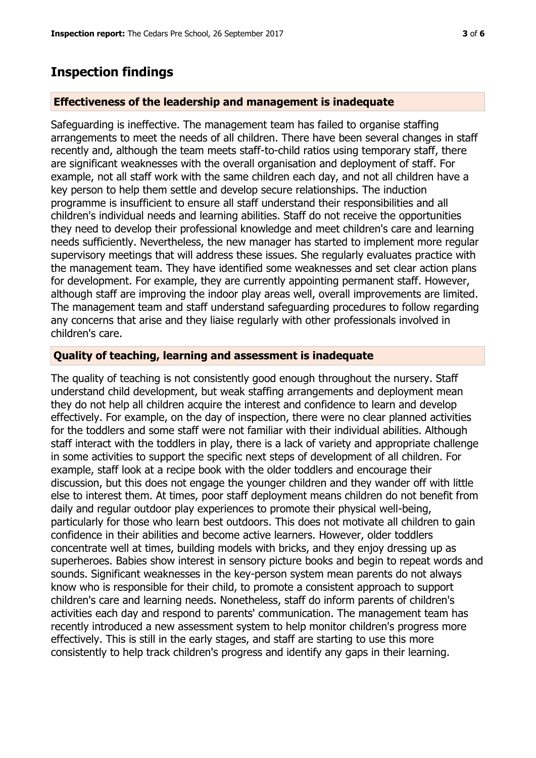# **Inspection findings**

#### **Effectiveness of the leadership and management is inadequate**

Safeguarding is ineffective. The management team has failed to organise staffing arrangements to meet the needs of all children. There have been several changes in staff recently and, although the team meets staff-to-child ratios using temporary staff, there are significant weaknesses with the overall organisation and deployment of staff. For example, not all staff work with the same children each day, and not all children have a key person to help them settle and develop secure relationships. The induction programme is insufficient to ensure all staff understand their responsibilities and all children's individual needs and learning abilities. Staff do not receive the opportunities they need to develop their professional knowledge and meet children's care and learning needs sufficiently. Nevertheless, the new manager has started to implement more regular supervisory meetings that will address these issues. She regularly evaluates practice with the management team. They have identified some weaknesses and set clear action plans for development. For example, they are currently appointing permanent staff. However, although staff are improving the indoor play areas well, overall improvements are limited. The management team and staff understand safeguarding procedures to follow regarding any concerns that arise and they liaise regularly with other professionals involved in children's care.

#### **Quality of teaching, learning and assessment is inadequate**

The quality of teaching is not consistently good enough throughout the nursery. Staff understand child development, but weak staffing arrangements and deployment mean they do not help all children acquire the interest and confidence to learn and develop effectively. For example, on the day of inspection, there were no clear planned activities for the toddlers and some staff were not familiar with their individual abilities. Although staff interact with the toddlers in play, there is a lack of variety and appropriate challenge in some activities to support the specific next steps of development of all children. For example, staff look at a recipe book with the older toddlers and encourage their discussion, but this does not engage the younger children and they wander off with little else to interest them. At times, poor staff deployment means children do not benefit from daily and regular outdoor play experiences to promote their physical well-being, particularly for those who learn best outdoors. This does not motivate all children to gain confidence in their abilities and become active learners. However, older toddlers concentrate well at times, building models with bricks, and they enjoy dressing up as superheroes. Babies show interest in sensory picture books and begin to repeat words and sounds. Significant weaknesses in the key-person system mean parents do not always know who is responsible for their child, to promote a consistent approach to support children's care and learning needs. Nonetheless, staff do inform parents of children's activities each day and respond to parents' communication. The management team has recently introduced a new assessment system to help monitor children's progress more effectively. This is still in the early stages, and staff are starting to use this more consistently to help track children's progress and identify any gaps in their learning.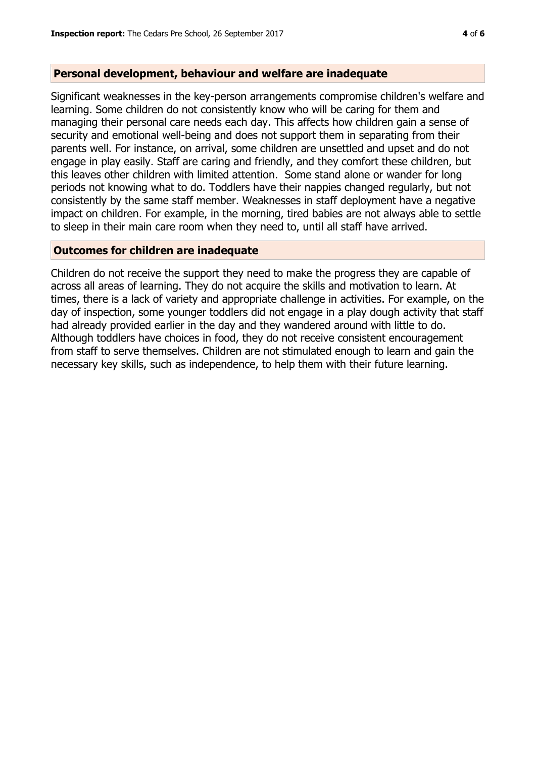#### **Personal development, behaviour and welfare are inadequate**

Significant weaknesses in the key-person arrangements compromise children's welfare and learning. Some children do not consistently know who will be caring for them and managing their personal care needs each day. This affects how children gain a sense of security and emotional well-being and does not support them in separating from their parents well. For instance, on arrival, some children are unsettled and upset and do not engage in play easily. Staff are caring and friendly, and they comfort these children, but this leaves other children with limited attention. Some stand alone or wander for long periods not knowing what to do. Toddlers have their nappies changed regularly, but not consistently by the same staff member. Weaknesses in staff deployment have a negative impact on children. For example, in the morning, tired babies are not always able to settle to sleep in their main care room when they need to, until all staff have arrived.

#### **Outcomes for children are inadequate**

Children do not receive the support they need to make the progress they are capable of across all areas of learning. They do not acquire the skills and motivation to learn. At times, there is a lack of variety and appropriate challenge in activities. For example, on the day of inspection, some younger toddlers did not engage in a play dough activity that staff had already provided earlier in the day and they wandered around with little to do. Although toddlers have choices in food, they do not receive consistent encouragement from staff to serve themselves. Children are not stimulated enough to learn and gain the necessary key skills, such as independence, to help them with their future learning.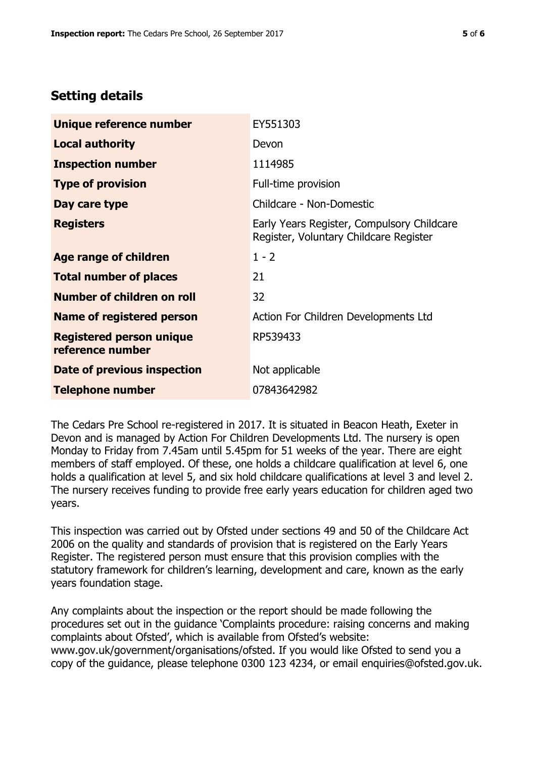# **Setting details**

| Unique reference number                             | EY551303                                                                             |
|-----------------------------------------------------|--------------------------------------------------------------------------------------|
| <b>Local authority</b>                              | Devon                                                                                |
| <b>Inspection number</b>                            | 1114985                                                                              |
| <b>Type of provision</b>                            | Full-time provision                                                                  |
| Day care type                                       | Childcare - Non-Domestic                                                             |
| <b>Registers</b>                                    | Early Years Register, Compulsory Childcare<br>Register, Voluntary Childcare Register |
| Age range of children                               | $1 - 2$                                                                              |
| <b>Total number of places</b>                       | 21                                                                                   |
| Number of children on roll                          | 32                                                                                   |
| Name of registered person                           | Action For Children Developments Ltd                                                 |
| <b>Registered person unique</b><br>reference number | RP539433                                                                             |
| <b>Date of previous inspection</b>                  | Not applicable                                                                       |
| <b>Telephone number</b>                             | 07843642982                                                                          |

The Cedars Pre School re-registered in 2017. It is situated in Beacon Heath, Exeter in Devon and is managed by Action For Children Developments Ltd. The nursery is open Monday to Friday from 7.45am until 5.45pm for 51 weeks of the year. There are eight members of staff employed. Of these, one holds a childcare qualification at level 6, one holds a qualification at level 5, and six hold childcare qualifications at level 3 and level 2. The nursery receives funding to provide free early years education for children aged two years.

This inspection was carried out by Ofsted under sections 49 and 50 of the Childcare Act 2006 on the quality and standards of provision that is registered on the Early Years Register. The registered person must ensure that this provision complies with the statutory framework for children's learning, development and care, known as the early years foundation stage.

Any complaints about the inspection or the report should be made following the procedures set out in the guidance 'Complaints procedure: raising concerns and making complaints about Ofsted', which is available from Ofsted's website: www.gov.uk/government/organisations/ofsted. If you would like Ofsted to send you a copy of the guidance, please telephone 0300 123 4234, or email enquiries@ofsted.gov.uk.